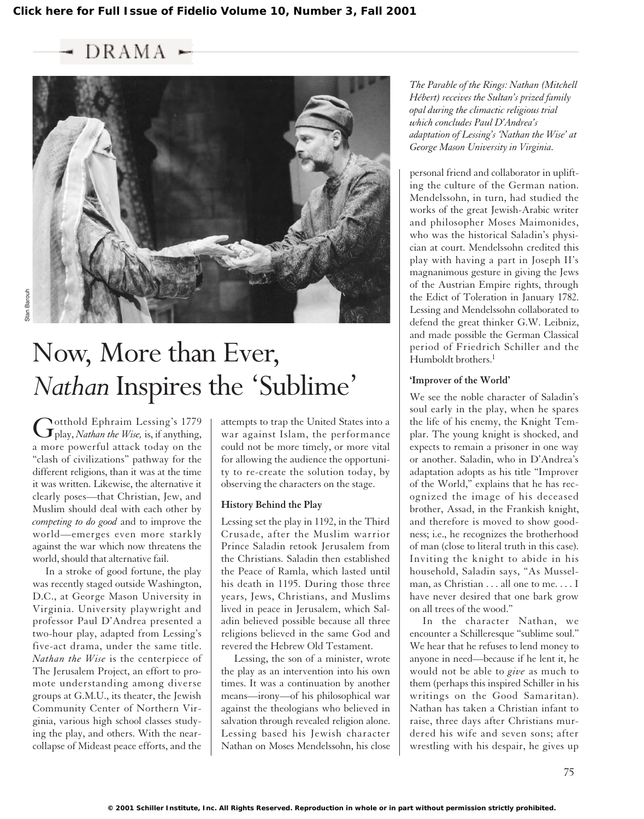$DRAMA$ 



# Now, More than Ever, *Nathan* Inspires the 'Sublime'

Gotthold Ephraim Lessing's 1779 play, *Nathan the Wise,* is, if anything, a more powerful attack today on the "clash of civilizations" pathway for the different religions, than it was at the time it was written. Likewise, the alternative it clearly poses—that Christian, Jew, and Muslim should deal with each other by *competing to do good* and to improve the world—emerges even more starkly against the war which now threatens the world, should that alternative fail.

In a stroke of good fortune, the play was recently staged outside Washington, D.C., at George Mason University in Virginia. University playwright and professor Paul D'Andrea presented a two-hour play, adapted from Lessing's five-act drama, under the same title. *Nathan the Wise* is the centerpiece of The Jerusalem Project, an effort to promote understanding among diverse groups at G.M.U., its theater, the Jewish Community Center of Northern Virginia, various high school classes studying the play, and others. With the nearcollapse of Mideast peace efforts, and the

attempts to trap the United States into a war against Islam, the performance could not be more timely, or more vital for allowing the audience the opportunity to re-create the solution today, by observing the characters on the stage.

#### **History Behind the Play**

Lessing set the play in 1192, in the Third Crusade, after the Muslim warrior Prince Saladin retook Jerusalem from the Christians. Saladin then established the Peace of Ramla, which lasted until his death in 1195. During those three years, Jews, Christians, and Muslims lived in peace in Jerusalem, which Saladin believed possible because all three religions believed in the same God and revered the Hebrew Old Testament.

Lessing, the son of a minister, wrote the play as an intervention into his own times. It was a continuation by another means—irony—of his philosophical war against the theologians who believed in salvation through revealed religion alone. Lessing based his Jewish character Nathan on Moses Mendelssohn, his close

*The Parable of the Rings: Nathan (Mitchell Hébert) receives the Sultan's prized family opal during the climactic religious trial which concludes Paul D'Andrea's adaptation of Lessing's 'Nathan the Wise' at George Mason University in Virginia.*

personal friend and collaborator in uplifting the culture of the German nation. Mendelssohn, in turn, had studied the works of the great Jewish-Arabic writer and philosopher Moses Maimonides, who was the historical Saladin's physician at court. Mendelssohn credited this play with having a part in Joseph II's magnanimous gesture in giving the Jews of the Austrian Empire rights, through the Edict of Toleration in January 1782. Lessing and Mendelssohn collaborated to defend the great thinker G.W. Leibniz, and made possible the German Classical period of Friedrich Schiller and the Humboldt brothers.<sup>1</sup>

## **'Improver of the World'**

We see the noble character of Saladin's soul early in the play, when he spares the life of his enemy, the Knight Templar. The young knight is shocked, and expects to remain a prisoner in one way or another. Saladin, who in D'Andrea's adaptation adopts as his title "Improver of the World," explains that he has recognized the image of his deceased brother, Assad, in the Frankish knight, and therefore is moved to show goodness; i.e., he recognizes the brotherhood of man (close to literal truth in this case). Inviting the knight to abide in his household, Saladin says, "As Musselman, as Christian . . . all one to me. . . . I have never desired that one bark grow on all trees of the wood."

In the character Nathan, we encounter a Schilleresque "sublime soul." We hear that he refuses to lend money to anyone in need—because if he lent it, he would not be able to *give* as much to them (perhaps this inspired Schiller in his writings on the Good Samaritan). Nathan has taken a Christian infant to raise, three days after Christians murdered his wife and seven sons; after wrestling with his despair, he gives up